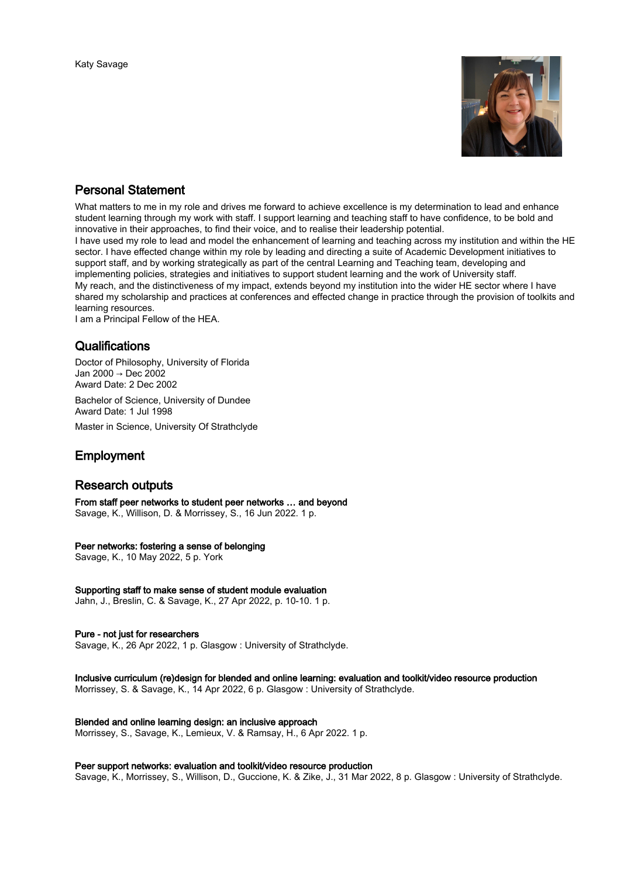

# Personal Statement

What matters to me in my role and drives me forward to achieve excellence is my determination to lead and enhance student learning through my work with staff. I support learning and teaching staff to have confidence, to be bold and innovative in their approaches, to find their voice, and to realise their leadership potential.

I have used my role to lead and model the enhancement of learning and teaching across my institution and within the HE sector. I have effected change within my role by leading and directing a suite of Academic Development initiatives to support staff, and by working strategically as part of the central Learning and Teaching team, developing and implementing policies, strategies and initiatives to support student learning and the work of University staff. My reach, and the distinctiveness of my impact, extends beyond my institution into the wider HE sector where I have shared my scholarship and practices at conferences and effected change in practice through the provision of toolkits and learning resources.

I am a Principal Fellow of the HEA.

# Qualifications

Doctor of Philosophy, University of Florida Jan 2000 → Dec 2002 Award Date: 2 Dec 2002

Bachelor of Science, University of Dundee Award Date: 1 Jul 1998

Master in Science, University Of Strathclyde

# Employment

# Research outputs

From staff peer networks to student peer networks … and beyond Savage, K., Willison, D. & Morrissey, S., 16 Jun 2022. 1 p.

### Peer networks: fostering a sense of belonging

Savage, K., 10 May 2022, 5 p. York

### Supporting staff to make sense of student module evaluation

Jahn, J., Breslin, C. & Savage, K., 27 Apr 2022, p. 10-10. 1 p.

### Pure - not just for researchers

Savage, K., 26 Apr 2022, 1 p. Glasgow : University of Strathclyde.

# Inclusive curriculum (re)design for blended and online learning: evaluation and toolkit/video resource production

Morrissey, S. & Savage, K., 14 Apr 2022, 6 p. Glasgow : University of Strathclyde.

### Blended and online learning design: an inclusive approach

Morrissey, S., Savage, K., Lemieux, V. & Ramsay, H., 6 Apr 2022. 1 p.

### Peer support networks: evaluation and toolkit/video resource production

Savage, K., Morrissey, S., Willison, D., Guccione, K. & Zike, J., 31 Mar 2022, 8 p. Glasgow : University of Strathclyde.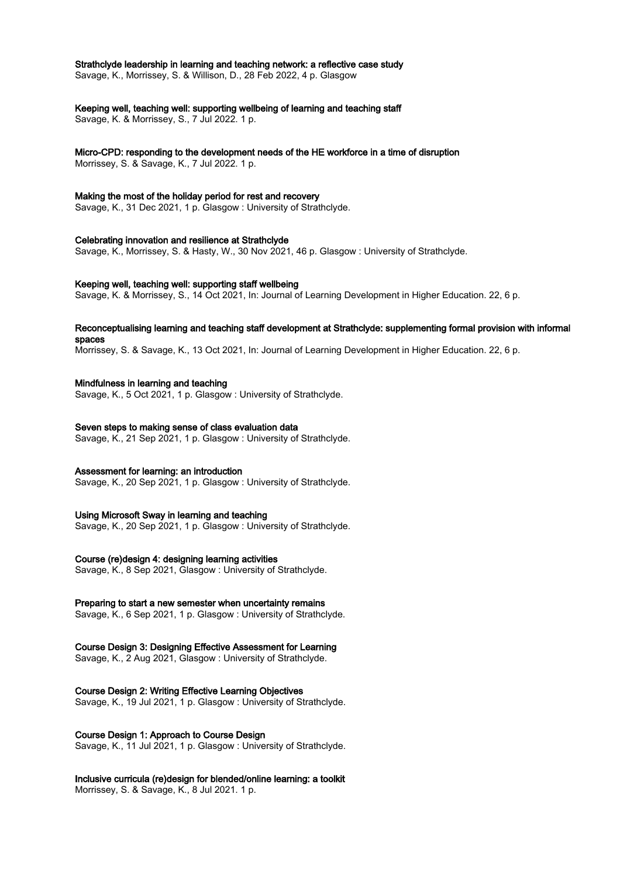## Strathclyde leadership in learning and teaching network: a reflective case study

Savage, K., Morrissey, S. & Willison, D., 28 Feb 2022, 4 p. Glasgow

#### Keeping well, teaching well: supporting wellbeing of learning and teaching staff

Savage, K. & Morrissey, S., 7 Jul 2022. 1 p.

# Micro-CPD: responding to the development needs of the HE workforce in a time of disruption

Morrissey, S. & Savage, K., 7 Jul 2022. 1 p.

### Making the most of the holiday period for rest and recovery

Savage, K., 31 Dec 2021, 1 p. Glasgow : University of Strathclyde.

### Celebrating innovation and resilience at Strathclyde

Savage, K., Morrissey, S. & Hasty, W., 30 Nov 2021, 46 p. Glasgow : University of Strathclyde.

#### Keeping well, teaching well: supporting staff wellbeing

Savage, K. & Morrissey, S., 14 Oct 2021, In: Journal of Learning Development in Higher Education. 22, 6 p.

#### Reconceptualising learning and teaching staff development at Strathclyde: supplementing formal provision with informal spaces

Morrissey, S. & Savage, K., 13 Oct 2021, In: Journal of Learning Development in Higher Education. 22, 6 p.

### Mindfulness in learning and teaching

Savage, K., 5 Oct 2021, 1 p. Glasgow : University of Strathclyde.

## Seven steps to making sense of class evaluation data

Savage, K., 21 Sep 2021, 1 p. Glasgow : University of Strathclyde.

### Assessment for learning: an introduction

Savage, K., 20 Sep 2021, 1 p. Glasgow : University of Strathclyde.

### Using Microsoft Sway in learning and teaching

Savage, K., 20 Sep 2021, 1 p. Glasgow : University of Strathclyde.

#### Course (re)design 4: designing learning activities

Savage, K., 8 Sep 2021, Glasgow : University of Strathclyde.

### Preparing to start a new semester when uncertainty remains

Savage, K., 6 Sep 2021, 1 p. Glasgow : University of Strathclyde.

## Course Design 3: Designing Effective Assessment for Learning

Savage, K., 2 Aug 2021, Glasgow : University of Strathclyde.

#### Course Design 2: Writing Effective Learning Objectives

Savage, K., 19 Jul 2021, 1 p. Glasgow : University of Strathclyde.

## Course Design 1: Approach to Course Design

Savage, K., 11 Jul 2021, 1 p. Glasgow : University of Strathclyde.

# Inclusive curricula (re)design for blended/online learning: a toolkit

Morrissey, S. & Savage, K., 8 Jul 2021. 1 p.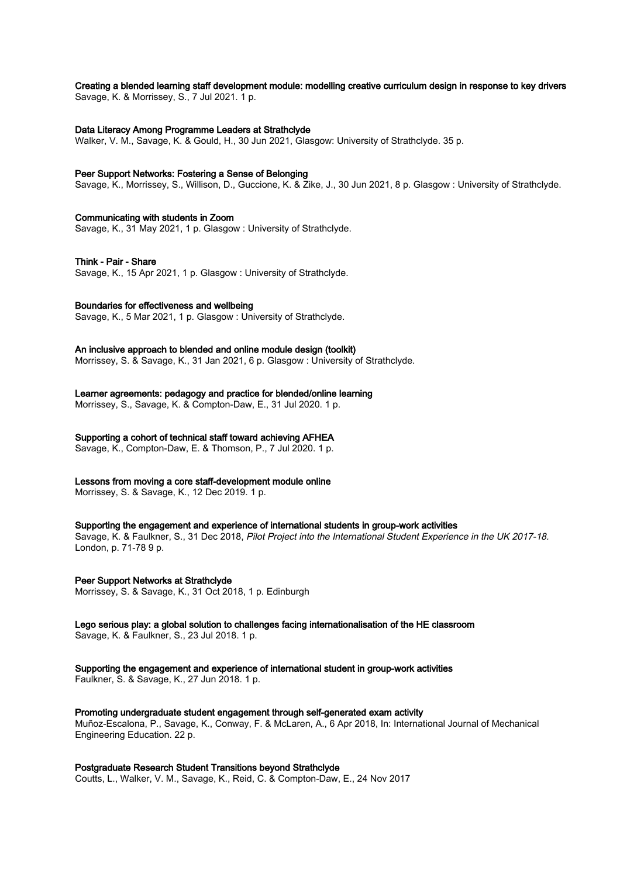# Creating a blended learning staff development module: modelling creative curriculum design in response to key drivers

Savage, K. & Morrissey, S., 7 Jul 2021. 1 p.

#### Data Literacy Among Programme Leaders at Strathclyde

Walker, V. M., Savage, K. & Gould, H., 30 Jun 2021, Glasgow: University of Strathclyde. 35 p.

#### Peer Support Networks: Fostering a Sense of Belonging

Savage, K., Morrissey, S., Willison, D., Guccione, K. & Zike, J., 30 Jun 2021, 8 p. Glasgow : University of Strathclyde.

#### Communicating with students in Zoom

Savage, K., 31 May 2021, 1 p. Glasgow : University of Strathclyde.

#### Think - Pair - Share

Savage, K., 15 Apr 2021, 1 p. Glasgow : University of Strathclyde.

#### Boundaries for effectiveness and wellbeing

Savage, K., 5 Mar 2021, 1 p. Glasgow : University of Strathclyde.

#### An inclusive approach to blended and online module design (toolkit)

Morrissey, S. & Savage, K., 31 Jan 2021, 6 p. Glasgow : University of Strathclyde.

### Learner agreements: pedagogy and practice for blended/online learning

Morrissey, S., Savage, K. & Compton-Daw, E., 31 Jul 2020. 1 p.

#### Supporting a cohort of technical staff toward achieving AFHEA

Savage, K., Compton-Daw, E. & Thomson, P., 7 Jul 2020. 1 p.

#### Lessons from moving a core staff-development module online

Morrissey, S. & Savage, K., 12 Dec 2019. 1 p.

#### Supporting the engagement and experience of international students in group-work activities

Savage, K. & Faulkner, S., 31 Dec 2018, Pilot Project into the International Student Experience in the UK 2017-18. London, p. 71-78 9 p.

#### Peer Support Networks at Strathclyde

Morrissey, S. & Savage, K., 31 Oct 2018, 1 p. Edinburgh

# Lego serious play: a global solution to challenges facing internationalisation of the HE classroom

Savage, K. & Faulkner, S., 23 Jul 2018. 1 p.

# Supporting the engagement and experience of international student in group-work activities

Faulkner, S. & Savage, K., 27 Jun 2018. 1 p.

#### Promoting undergraduate student engagement through self-generated exam activity

Muñoz-Escalona, P., Savage, K., Conway, F. & McLaren, A., 6 Apr 2018, In: International Journal of Mechanical Engineering Education. 22 p.

### Postgraduate Research Student Transitions beyond Strathclyde

Coutts, L., Walker, V. M., Savage, K., Reid, C. & Compton-Daw, E., 24 Nov 2017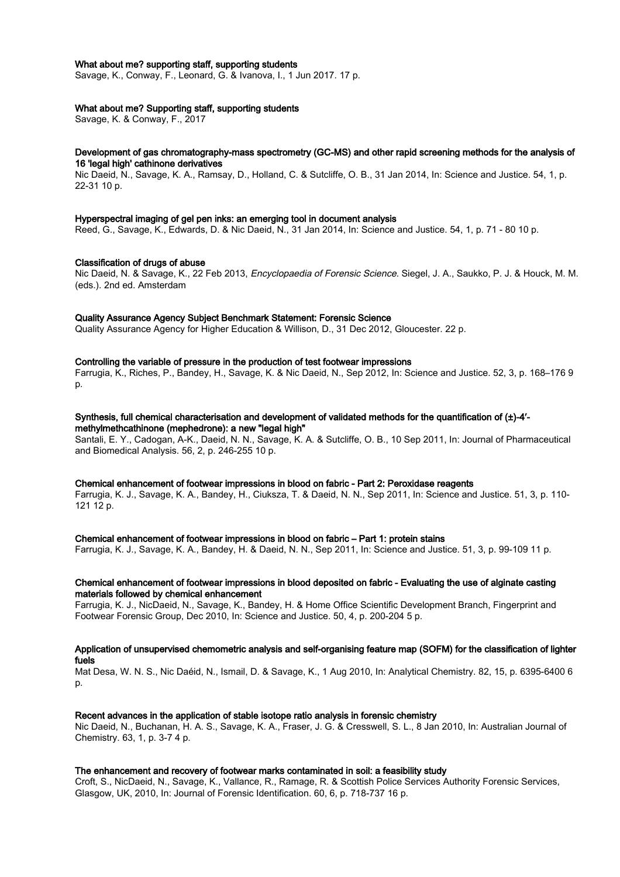#### What about me? supporting staff, supporting students

Savage, K., Conway, F., Leonard, G. & Ivanova, I., 1 Jun 2017. 17 p.

### What about me? Supporting staff, supporting students

Savage, K. & Conway, F., 2017

#### Development of gas chromatography-mass spectrometry (GC-MS) and other rapid screening methods for the analysis of 16 'legal high' cathinone derivatives

Nic Daeid, N., Savage, K. A., Ramsay, D., Holland, C. & Sutcliffe, O. B., 31 Jan 2014, In: Science and Justice. 54, 1, p. 22-31 10 p.

#### Hyperspectral imaging of gel pen inks: an emerging tool in document analysis

Reed, G., Savage, K., Edwards, D. & Nic Daeid, N., 31 Jan 2014, In: Science and Justice. 54, 1, p. 71 - 80 10 p.

#### Classification of drugs of abuse

Nic Daeid, N. & Savage, K., 22 Feb 2013, Encyclopaedia of Forensic Science. Siegel, J. A., Saukko, P. J. & Houck, M. M. (eds.). 2nd ed. Amsterdam

#### Quality Assurance Agency Subject Benchmark Statement: Forensic Science

Quality Assurance Agency for Higher Education & Willison, D., 31 Dec 2012, Gloucester. 22 p.

#### Controlling the variable of pressure in the production of test footwear impressions

Farrugia, K., Riches, P., Bandey, H., Savage, K. & Nic Daeid, N., Sep 2012, In: Science and Justice. 52, 3, p. 168–176 9 p.

# Synthesis, full chemical characterisation and development of validated methods for the quantification of (±)-4′-

methylmethcathinone (mephedrone): a new "legal high" Santali, E. Y., Cadogan, A-K., Daeid, N. N., Savage, K. A. & Sutcliffe, O. B., 10 Sep 2011, In: Journal of Pharmaceutical and Biomedical Analysis. 56, 2, p. 246-255 10 p.

#### Chemical enhancement of footwear impressions in blood on fabric - Part 2: Peroxidase reagents

Farrugia, K. J., Savage, K. A., Bandey, H., Ciuksza, T. & Daeid, N. N., Sep 2011, In: Science and Justice. 51, 3, p. 110- 121 12 p.

#### Chemical enhancement of footwear impressions in blood on fabric – Part 1: protein stains

Farrugia, K. J., Savage, K. A., Bandey, H. & Daeid, N. N., Sep 2011, In: Science and Justice. 51, 3, p. 99-109 11 p.

#### Chemical enhancement of footwear impressions in blood deposited on fabric - Evaluating the use of alginate casting materials followed by chemical enhancement

Farrugia, K. J., NicDaeid, N., Savage, K., Bandey, H. & Home Office Scientific Development Branch, Fingerprint and Footwear Forensic Group, Dec 2010, In: Science and Justice. 50, 4, p. 200-204 5 p.

## Application of unsupervised chemometric analysis and self-organising feature map (SOFM) for the classification of lighter fuels

Mat Desa, W. N. S., Nic Daéid, N., Ismail, D. & Savage, K., 1 Aug 2010, In: Analytical Chemistry. 82, 15, p. 6395-6400 6 p.

#### Recent advances in the application of stable isotope ratio analysis in forensic chemistry

Nic Daeid, N., Buchanan, H. A. S., Savage, K. A., Fraser, J. G. & Cresswell, S. L., 8 Jan 2010, In: Australian Journal of Chemistry. 63, 1, p. 3-7 4 p.

#### The enhancement and recovery of footwear marks contaminated in soil: a feasibility study

Croft, S., NicDaeid, N., Savage, K., Vallance, R., Ramage, R. & Scottish Police Services Authority Forensic Services, Glasgow, UK, 2010, In: Journal of Forensic Identification. 60, 6, p. 718-737 16 p.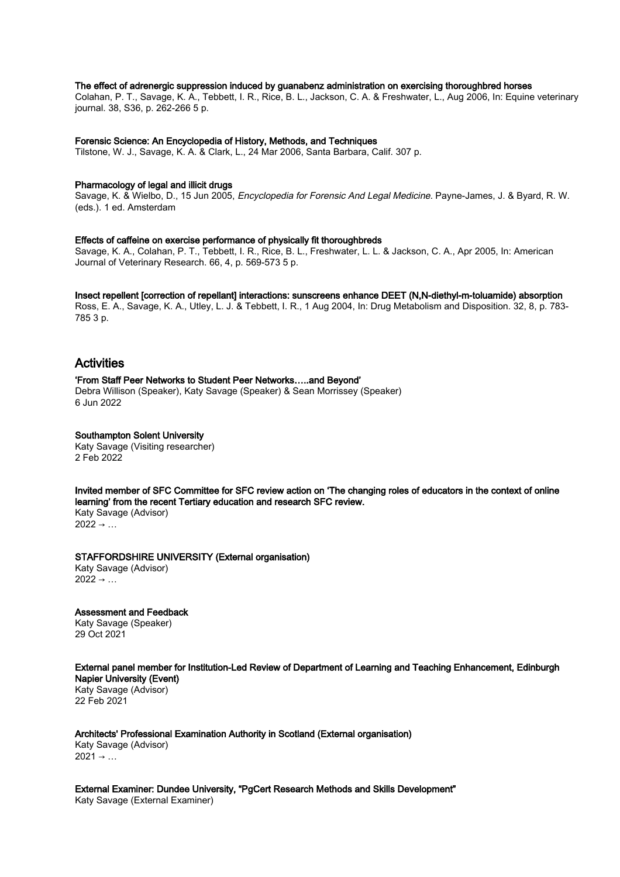#### The effect of adrenergic suppression induced by guanabenz administration on exercising thoroughbred horses

Colahan, P. T., Savage, K. A., Tebbett, I. R., Rice, B. L., Jackson, C. A. & Freshwater, L., Aug 2006, In: Equine veterinary journal. 38, S36, p. 262-266 5 p.

#### Forensic Science: An Encyclopedia of History, Methods, and Techniques

Tilstone, W. J., Savage, K. A. & Clark, L., 24 Mar 2006, Santa Barbara, Calif. 307 p.

#### Pharmacology of legal and illicit drugs

Savage, K. & Wielbo, D., 15 Jun 2005, Encyclopedia for Forensic And Legal Medicine. Payne-James, J. & Byard, R. W. (eds.). 1 ed. Amsterdam

#### Effects of caffeine on exercise performance of physically fit thoroughbreds

Savage, K. A., Colahan, P. T., Tebbett, I. R., Rice, B. L., Freshwater, L. L. & Jackson, C. A., Apr 2005, In: American Journal of Veterinary Research. 66, 4, p. 569-573 5 p.

#### Insect repellent [correction of repellant] interactions: sunscreens enhance DEET (N,N-diethyl-m-toluamide) absorption

Ross, E. A., Savage, K. A., Utley, L. J. & Tebbett, I. R., 1 Aug 2004, In: Drug Metabolism and Disposition. 32, 8, p. 783- 785 3 p.

# Activities

#### 'From Staff Peer Networks to Student Peer Networks…..and Beyond'

Debra Willison (Speaker), Katy Savage (Speaker) & Sean Morrissey (Speaker) 6 Jun 2022

#### Southampton Solent University

Katy Savage (Visiting researcher) 2 Feb 2022

Invited member of SFC Committee for SFC review action on 'The changing roles of educators in the context of online learning' from the recent Tertiary education and research SFC review. Katy Savage (Advisor)  $2022 \rightarrow ...$ 

#### STAFFORDSHIRE UNIVERSITY (External organisation)

Katy Savage (Advisor)  $2022 \rightarrow ...$ 

Assessment and Feedback

Katy Savage (Speaker) 29 Oct 2021

#### External panel member for Institution-Led Review of Department of Learning and Teaching Enhancement, Edinburgh Napier University (Event)

Katy Savage (Advisor) 22 Feb 2021

Architects' Professional Examination Authority in Scotland (External organisation) Katy Savage (Advisor)  $2021 \rightarrow ...$ 

External Examiner: Dundee University, "PgCert Research Methods and Skills Development" Katy Savage (External Examiner)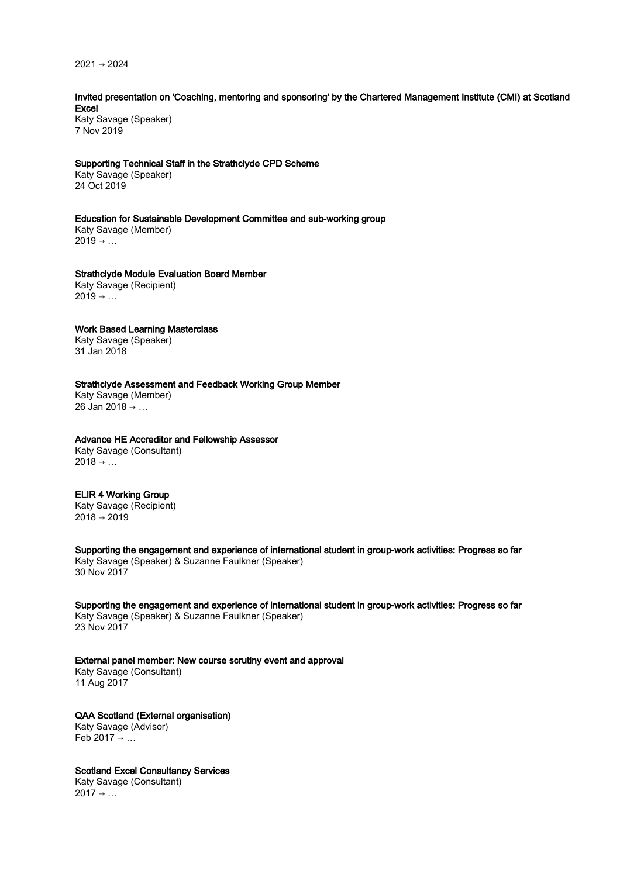2021 → 2024

## Invited presentation on 'Coaching, mentoring and sponsoring' by the Chartered Management Institute (CMI) at Scotland Excel

Katy Savage (Speaker) 7 Nov 2019

#### Supporting Technical Staff in the Strathclyde CPD Scheme

Katy Savage (Speaker) 24 Oct 2019

#### Education for Sustainable Development Committee and sub-working group

Katy Savage (Member)  $2019 \rightarrow ...$ 

### Strathclyde Module Evaluation Board Member

Katy Savage (Recipient)  $2019 \rightarrow ...$ 

### Work Based Learning Masterclass

Katy Savage (Speaker) 31 Jan 2018

## Strathclyde Assessment and Feedback Working Group Member

Katy Savage (Member) 26 Jan 2018 → …

# Advance HE Accreditor and Fellowship Assessor

Katy Savage (Consultant)  $2018 \rightarrow ...$ 

## ELIR 4 Working Group

Katy Savage (Recipient)  $2018 \rightarrow 2019$ 

Supporting the engagement and experience of international student in group-work activities: Progress so far Katy Savage (Speaker) & Suzanne Faulkner (Speaker) 30 Nov 2017

Supporting the engagement and experience of international student in group-work activities: Progress so far Katy Savage (Speaker) & Suzanne Faulkner (Speaker) 23 Nov 2017

External panel member: New course scrutiny event and approval

Katy Savage (Consultant) 11 Aug 2017

QAA Scotland (External organisation) Katy Savage (Advisor) Feb 2017  $\rightarrow$  ...

Scotland Excel Consultancy Services Katy Savage (Consultant)  $2017 \rightarrow ...$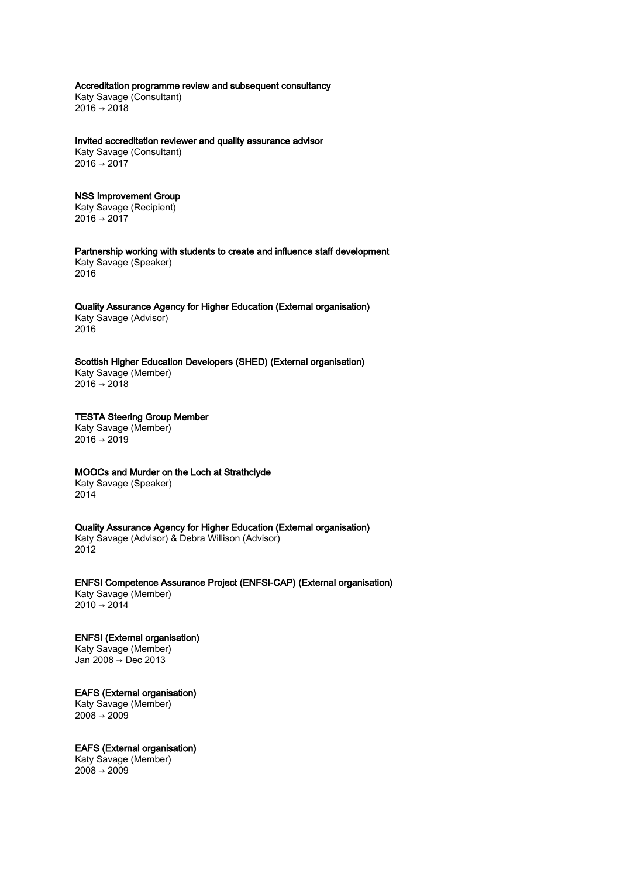Accreditation programme review and subsequent consultancy Katy Savage (Consultant)  $2016 \rightarrow 2018$ 

Invited accreditation reviewer and quality assurance advisor Katy Savage (Consultant)  $2016 \rightarrow 2017$ 

## NSS Improvement Group

Katy Savage (Recipient)  $2016 \rightarrow 2017$ 

Partnership working with students to create and influence staff development Katy Savage (Speaker) 2016

#### Quality Assurance Agency for Higher Education (External organisation) Katy Savage (Advisor) 2016

Scottish Higher Education Developers (SHED) (External organisation)

Katy Savage (Member)  $2016 \rightarrow 2018$ 

#### TESTA Steering Group Member Katy Savage (Member)

 $2016 \rightarrow 2019$ 

# MOOCs and Murder on the Loch at Strathclyde

Katy Savage (Speaker) 2014

# Quality Assurance Agency for Higher Education (External organisation)

Katy Savage (Advisor) & Debra Willison (Advisor) 2012

ENFSI Competence Assurance Project (ENFSI-CAP) (External organisation) Katy Savage (Member)

 $2010 \rightarrow 2014$ 

# ENFSI (External organisation) Katy Savage (Member)

Jan 2008 → Dec 2013

# EAFS (External organisation)

Katy Savage (Member)  $2008 \rightarrow 2009$ 

# EAFS (External organisation)

Katy Savage (Member)  $2008 \rightarrow 2009$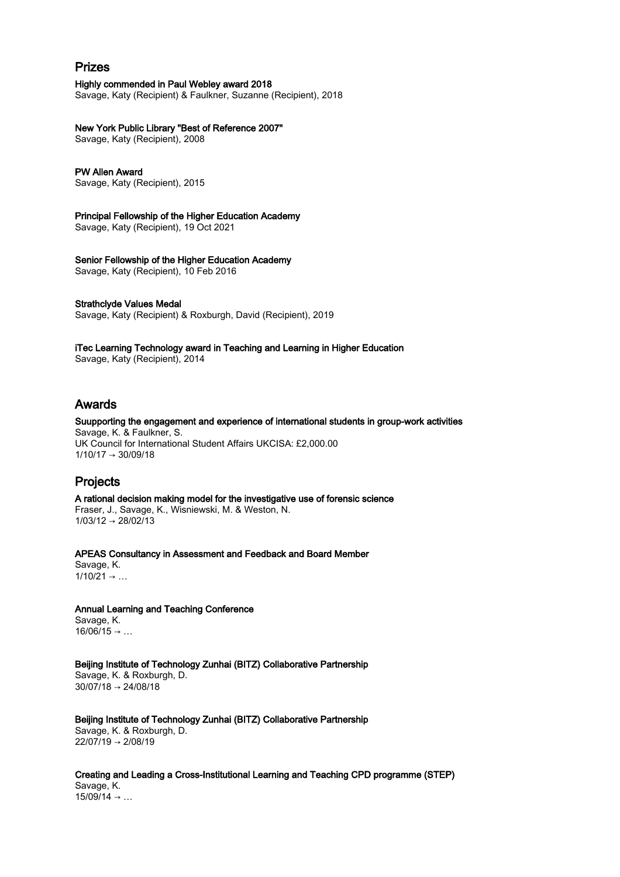# Prizes

Highly commended in Paul Webley award 2018

Savage, Katy (Recipient) & Faulkner, Suzanne (Recipient), 2018

### New York Public Library "Best of Reference 2007"

Savage, Katy (Recipient), 2008

#### PW Allen Award

Savage, Katy (Recipient), 2015

#### Principal Fellowship of the Higher Education Academy

Savage, Katy (Recipient), 19 Oct 2021

### Senior Fellowship of the Higher Education Academy

Savage, Katy (Recipient), 10 Feb 2016

#### Strathclyde Values Medal

Savage, Katy (Recipient) & Roxburgh, David (Recipient), 2019

# iTec Learning Technology award in Teaching and Learning in Higher Education

Savage, Katy (Recipient), 2014

# Awards

# Suupporting the engagement and experience of international students in group-work activities

Savage, K. & Faulkner, S. UK Council for International Student Affairs UKCISA: £2,000.00  $1/10/17 \rightarrow 30/09/18$ 

# Projects

A rational decision making model for the investigative use of forensic science Fraser, J., Savage, K., Wisniewski, M. & Weston, N.  $1/03/12 \rightarrow 28/02/13$ 

APEAS Consultancy in Assessment and Feedback and Board Member Savage, K.  $1/10/21 \rightarrow ...$ 

Annual Learning and Teaching Conference Savage, K.  $16/06/15 \rightarrow ...$ 

Beijing Institute of Technology Zunhai (BITZ) Collaborative Partnership Savage, K. & Roxburgh, D. 30/07/18 → 24/08/18

Beijing Institute of Technology Zunhai (BITZ) Collaborative Partnership Savage, K. & Roxburgh, D. 22/07/19 → 2/08/19

Creating and Leading a Cross-Institutional Learning and Teaching CPD programme (STEP) Savage, K.  $15/09/14 \rightarrow ...$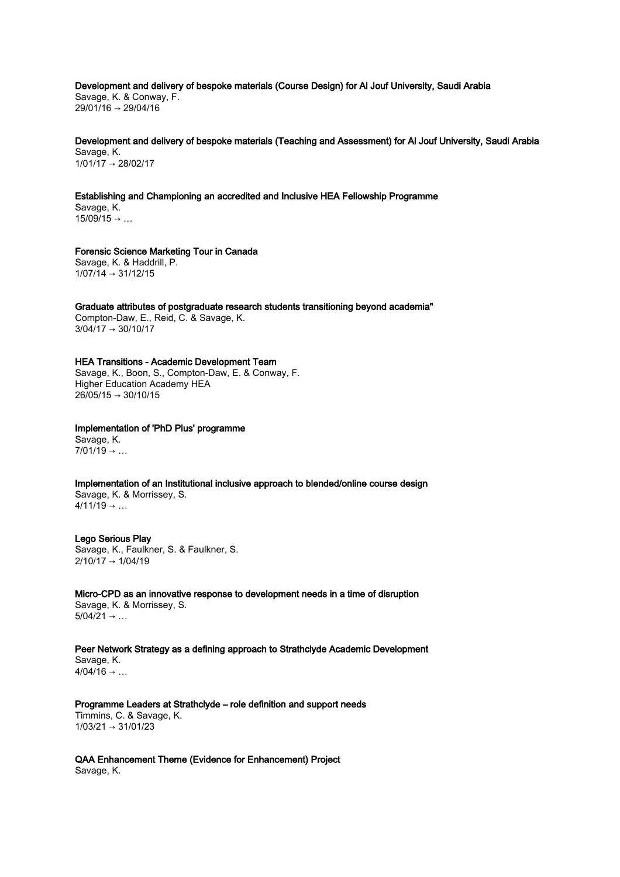Development and delivery of bespoke materials (Course Design) for Al Jouf University, Saudi Arabia Savage, K. & Conway, F. 29/01/16 → 29/04/16

Development and delivery of bespoke materials (Teaching and Assessment) for Al Jouf University, Saudi Arabia Savage, K. 1/01/17 → 28/02/17

Establishing and Championing an accredited and Inclusive HEA Fellowship Programme

Savage, K.  $15/09/15 \rightarrow ...$ 

 $26/05/15 \rightarrow 30/10/15$ 

Forensic Science Marketing Tour in Canada Savage, K. & Haddrill, P.  $1/07/14 \rightarrow 31/12/15$ 

Graduate attributes of postgraduate research students transitioning beyond academia" Compton-Daw, E., Reid, C. & Savage, K.  $3/04/17 \rightarrow 30/10/17$ 

HEA Transitions - Academic Development Team Savage, K., Boon, S., Compton-Daw, E. & Conway, F. Higher Education Academy HEA

Implementation of 'PhD Plus' programme Savage, K.  $7/01/19 \rightarrow ...$ 

Implementation of an Institutional inclusive approach to blended/online course design Savage, K. & Morrissey, S.  $4/11/19 \rightarrow ...$ 

## Lego Serious Play Savage, K., Faulkner, S. & Faulkner, S. 2/10/17 → 1/04/19

Micro-CPD as an innovative response to development needs in a time of disruption Savage, K. & Morrissey, S.  $5/04/21 \rightarrow ...$ 

Peer Network Strategy as a defining approach to Strathclyde Academic Development Savage, K.  $4/04/16 \rightarrow ...$ 

Programme Leaders at Strathclyde – role definition and support needs Timmins, C. & Savage, K.  $1/03/21 \rightarrow 31/01/23$ 

QAA Enhancement Theme (Evidence for Enhancement) Project Savage, K.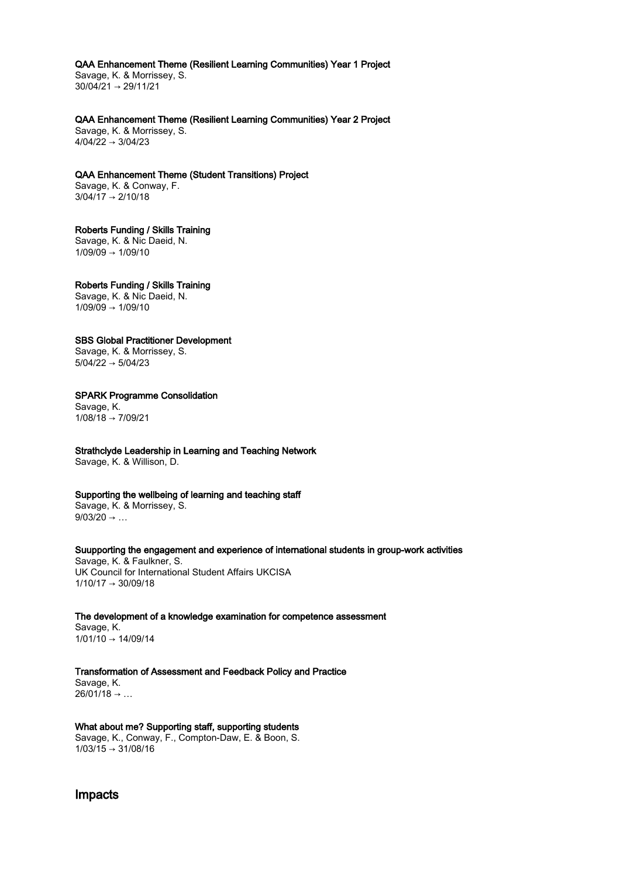#### QAA Enhancement Theme (Resilient Learning Communities) Year 1 Project

Savage, K. & Morrissey, S.  $30/04/21 \rightarrow 29/11/21$ 

QAA Enhancement Theme (Resilient Learning Communities) Year 2 Project

Savage, K. & Morrissey, S.  $4/04/22 \rightarrow 3/04/23$ 

QAA Enhancement Theme (Student Transitions) Project Savage, K. & Conway, F. 3/04/17 → 2/10/18

# Roberts Funding / Skills Training

Savage, K. & Nic Daeid, N.  $1/09/09 \rightarrow 1/09/10$ 

# Roberts Funding / Skills Training

Savage, K. & Nic Daeid, N.  $1/09/09 \rightarrow 1/09/10$ 

## SBS Global Practitioner Development

Savage, K. & Morrissey, S.  $5/04/22 \rightarrow 5/04/23$ 

## SPARK Programme Consolidation

Savage, K.  $1/08/18 \rightarrow 7/09/21$ 

# Strathclyde Leadership in Learning and Teaching Network

Savage, K. & Willison, D.

### Supporting the wellbeing of learning and teaching staff

Savage, K. & Morrissey, S.  $9/03/20 \rightarrow ...$ 

### Suupporting the engagement and experience of international students in group-work activities

Savage, K. & Faulkner, S. UK Council for International Student Affairs UKCISA  $1/10/17 \rightarrow 30/09/18$ 

The development of a knowledge examination for competence assessment

Savage, K.  $1/01/10 \rightarrow 14/09/14$ 

# Transformation of Assessment and Feedback Policy and Practice

Savage, K.  $26/01/18 \rightarrow ...$ 

## What about me? Supporting staff, supporting students

Savage, K., Conway, F., Compton-Daw, E. & Boon, S.  $1/03/15 \rightarrow 31/08/16$ 

Impacts